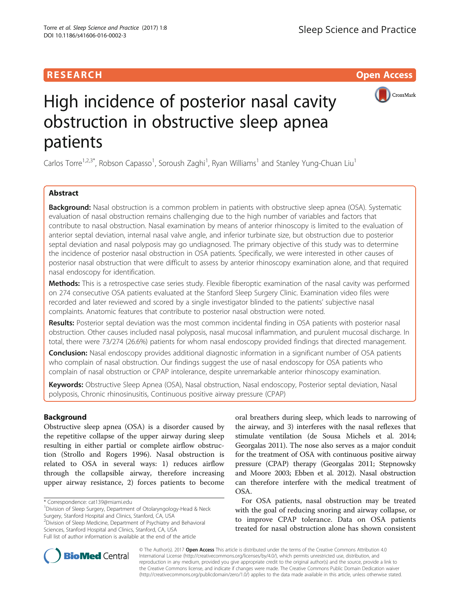# **RESEARCH CHILD CONTROL** CONTROL CONTROL CONTROL CONTROL CONTROL CONTROL CONTROL CONTROL CONTROL CONTROL CONTROL



# High incidence of posterior nasal cavity obstruction in obstructive sleep apnea patients

Carlos Torre<sup>1,2,3\*</sup>, Robson Capasso<sup>1</sup>, Soroush Zaghi<sup>1</sup>, Ryan Williams<sup>1</sup> and Stanley Yung-Chuan Liu<sup>1</sup>

# Abstract

Background: Nasal obstruction is a common problem in patients with obstructive sleep apnea (OSA). Systematic evaluation of nasal obstruction remains challenging due to the high number of variables and factors that contribute to nasal obstruction. Nasal examination by means of anterior rhinoscopy is limited to the evaluation of anterior septal deviation, internal nasal valve angle, and inferior turbinate size, but obstruction due to posterior septal deviation and nasal polyposis may go undiagnosed. The primary objective of this study was to determine the incidence of posterior nasal obstruction in OSA patients. Specifically, we were interested in other causes of posterior nasal obstruction that were difficult to assess by anterior rhinoscopy examination alone, and that required nasal endoscopy for identification.

Methods: This is a retrospective case series study. Flexible fiberoptic examination of the nasal cavity was performed on 274 consecutive OSA patients evaluated at the Stanford Sleep Surgery Clinic. Examination video files were recorded and later reviewed and scored by a single investigator blinded to the patients' subjective nasal complaints. Anatomic features that contribute to posterior nasal obstruction were noted.

Results: Posterior septal deviation was the most common incidental finding in OSA patients with posterior nasal obstruction. Other causes included nasal polyposis, nasal mucosal inflammation, and purulent mucosal discharge. In total, there were 73/274 (26.6%) patients for whom nasal endoscopy provided findings that directed management.

**Conclusion:** Nasal endoscopy provides additional diagnostic information in a significant number of OSA patients who complain of nasal obstruction. Our findings suggest the use of nasal endoscopy for OSA patients who complain of nasal obstruction or CPAP intolerance, despite unremarkable anterior rhinoscopy examination.

Keywords: Obstructive Sleep Apnea (OSA), Nasal obstruction, Nasal endoscopy, Posterior septal deviation, Nasal polyposis, Chronic rhinosinusitis, Continuous positive airway pressure (CPAP)

## Background

Obstructive sleep apnea (OSA) is a disorder caused by the repetitive collapse of the upper airway during sleep resulting in either partial or complete airflow obstruction (Strollo and Rogers [1996\)](#page-4-0). Nasal obstruction is related to OSA in several ways: 1) reduces airflow through the collapsible airway, therefore increasing upper airway resistance, 2) forces patients to become

<sup>1</sup> Division of Sleep Surgery, Department of Otolaryngology-Head & Neck Surgery, Stanford Hospital and Clinics, Stanford, CA, USA 2 Division of Sleep Medicine, Department of Psychiatry and Behavioral

Sciences, Stanford Hospital and Clinics, Stanford, CA, USA Full list of author information is available at the end of the article oral breathers during sleep, which leads to narrowing of the airway, and 3) interferes with the nasal reflexes that stimulate ventilation (de Sousa Michels et al. [2014](#page-3-0); Georgalas [2011\)](#page-3-0). The nose also serves as a major conduit for the treatment of OSA with continuous positive airway pressure (CPAP) therapy (Georgalas [2011](#page-3-0); Stepnowsky and Moore [2003;](#page-4-0) Ebben et al. [2012](#page-3-0)). Nasal obstruction can therefore interfere with the medical treatment of OSA.

For OSA patients, nasal obstruction may be treated with the goal of reducing snoring and airway collapse, or to improve CPAP tolerance. Data on OSA patients treated for nasal obstruction alone has shown consistent



© The Author(s). 2017 **Open Access** This article is distributed under the terms of the Creative Commons Attribution 4.0 International License [\(http://creativecommons.org/licenses/by/4.0/](http://creativecommons.org/licenses/by/4.0/)), which permits unrestricted use, distribution, and reproduction in any medium, provided you give appropriate credit to the original author(s) and the source, provide a link to the Creative Commons license, and indicate if changes were made. The Creative Commons Public Domain Dedication waiver [\(http://creativecommons.org/publicdomain/zero/1.0/](http://creativecommons.org/publicdomain/zero/1.0/)) applies to the data made available in this article, unless otherwise stated.

<sup>\*</sup> Correspondence: [cat139@miami.edu](mailto:cat139@miami.edu) <sup>1</sup>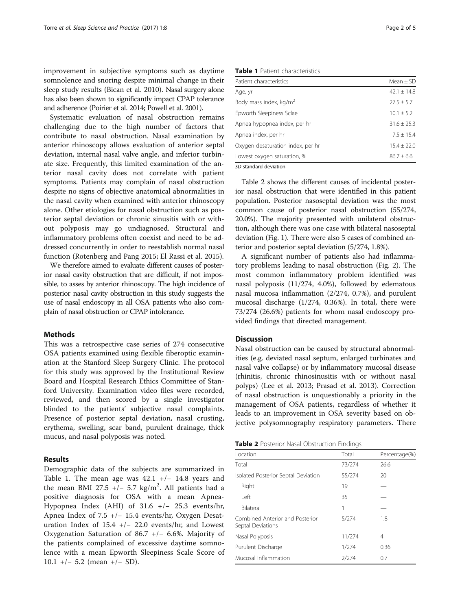improvement in subjective symptoms such as daytime somnolence and snoring despite minimal change in their sleep study results (Bican et al. [2010](#page-3-0)). Nasal surgery alone has also been shown to significantly impact CPAP tolerance and adherence (Poirier et al. [2014](#page-4-0); Powell et al. [2001](#page-4-0)).

Systematic evaluation of nasal obstruction remains challenging due to the high number of factors that contribute to nasal obstruction. Nasal examination by anterior rhinoscopy allows evaluation of anterior septal deviation, internal nasal valve angle, and inferior turbinate size. Frequently, this limited examination of the anterior nasal cavity does not correlate with patient symptoms. Patients may complain of nasal obstruction despite no signs of objective anatomical abnormalities in the nasal cavity when examined with anterior rhinoscopy alone. Other etiologies for nasal obstruction such as posterior septal deviation or chronic sinusitis with or without polyposis may go undiagnosed. Structural and inflammatory problems often coexist and need to be addressed concurrently in order to reestablish normal nasal function (Rotenberg and Pang [2015;](#page-4-0) El Rassi et al. [2015\)](#page-3-0).

We therefore aimed to evaluate different causes of posterior nasal cavity obstruction that are difficult, if not impossible, to asses by anterior rhinoscopy. The high incidence of posterior nasal cavity obstruction in this study suggests the use of nasal endoscopy in all OSA patients who also complain of nasal obstruction or CPAP intolerance.

## Methods

This was a retrospective case series of 274 consecutive OSA patients examined using flexible fiberoptic examination at the Stanford Sleep Surgery Clinic. The protocol for this study was approved by the Institutional Review Board and Hospital Research Ethics Committee of Stanford University. Examination video files were recorded, reviewed, and then scored by a single investigator blinded to the patients' subjective nasal complaints. Presence of posterior septal deviation, nasal crusting, erythema, swelling, scar band, purulent drainage, thick mucus, and nasal polyposis was noted.

## Results

Demographic data of the subjects are summarized in Table 1. The mean age was 42.1 +/− 14.8 years and the mean BMI 27.5 +/- 5.7  $\text{kg/m}^2$ . All patients had a positive diagnosis for OSA with a mean Apnea-Hypopnea Index (AHI) of  $31.6$  +/-  $25.3$  events/hr, Apnea Index of 7.5 +/− 15.4 events/hr, Oxygen Desaturation Index of  $15.4$  +/- 22.0 events/hr, and Lowest Oxygenation Saturation of 86.7 +/− 6.6%. Majority of the patients complained of excessive daytime somnolence with a mean Epworth Sleepiness Scale Score of 10.1 +/− 5.2 (mean +/− SD).

|  | Table 1 Patient characteristics |
|--|---------------------------------|
|--|---------------------------------|

| Patient characteristics            | Mean $\pm$ SD  |
|------------------------------------|----------------|
| Age, yr                            | $42.1 + 14.8$  |
| Body mass index, kg/m <sup>2</sup> | $27.5 + 5.7$   |
| Epworth Sleepiness Sclae           | $10.1 \pm 5.2$ |
| Apnea hypopnea index, per hr       | $31.6 + 25.3$  |
| Apnea index, per hr                | $7.5 + 15.4$   |
| Oxygen desaturation index, per hr  | $15.4 + 22.0$  |
| Lowest oxygen saturation, %        | $86.7 + 6.6$   |
|                                    |                |

SD standard deviation

Table 2 shows the different causes of incidental posterior nasal obstruction that were identified in this patient population. Posterior nasoseptal deviation was the most common cause of posterior nasal obstruction (55/274, 20.0%). The majority presented with unilateral obstruction, although there was one case with bilateral nasoseptal deviation (Fig. [1\)](#page-2-0). There were also 5 cases of combined anterior and posterior septal deviation (5/274, 1.8%).

A significant number of patients also had inflammatory problems leading to nasal obstruction (Fig. [2](#page-2-0)). The most common inflammatory problem identified was nasal polyposis (11/274, 4.0%), followed by edematous nasal mucosa inflammation (2/274, 0.7%), and purulent mucosal discharge (1/274, 0.36%). In total, there were 73/274 (26.6%) patients for whom nasal endoscopy provided findings that directed management.

#### **Discussion**

Nasal obstruction can be caused by structural abnormalities (e.g. deviated nasal septum, enlarged turbinates and nasal valve collapse) or by inflammatory mucosal disease (rhinitis, chronic rhinosinusitis with or without nasal polyps) (Lee et al. [2013;](#page-3-0) Prasad et al. [2013\)](#page-4-0). Correction of nasal obstruction is unquestionably a priority in the management of OSA patients, regardless of whether it leads to an improvement in OSA severity based on objective polysomnography respiratory parameters. There

| Table 2 Posterior Nasal Obstruction Findings |  |
|----------------------------------------------|--|
|----------------------------------------------|--|

| Location                                             | Total  | Percentage(%) |
|------------------------------------------------------|--------|---------------|
| Total                                                | 73/274 | 26.6          |
| Isolated Posterior Septal Deviation                  | 55/274 | 20            |
| Right                                                | 19     |               |
| I eft                                                | 35     |               |
| Bilateral                                            | 1      |               |
| Combined Anterior and Posterior<br>Septal Deviations | 5/274  | 1.8           |
| Nasal Polyposis                                      | 11/274 | 4             |
| Purulent Discharge                                   | 1/274  | 0.36          |
| Mucosal Inflammation                                 | 2/274  | 0.7           |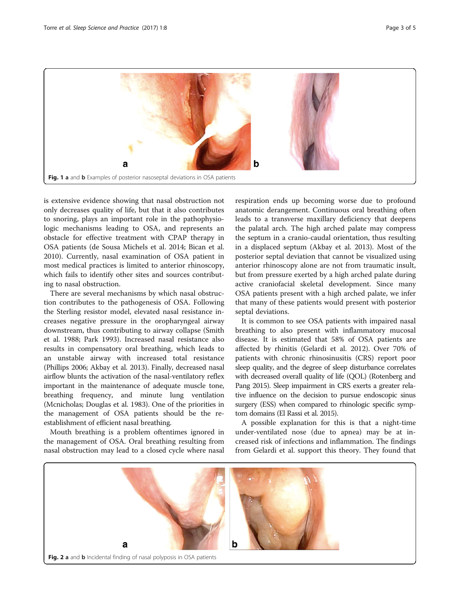<span id="page-2-0"></span>

is extensive evidence showing that nasal obstruction not only decreases quality of life, but that it also contributes to snoring, plays an important role in the pathophysiologic mechanisms leading to OSA, and represents an obstacle for effective treatment with CPAP therapy in OSA patients (de Sousa Michels et al. [2014](#page-3-0); Bican et al. [2010](#page-3-0)). Currently, nasal examination of OSA patient in most medical practices is limited to anterior rhinoscopy, which fails to identify other sites and sources contributing to nasal obstruction.

There are several mechanisms by which nasal obstruction contributes to the pathogenesis of OSA. Following the Sterling resistor model, elevated nasal resistance increases negative pressure in the oropharyngeal airway downstream, thus contributing to airway collapse (Smith et al. [1988](#page-4-0); Park [1993](#page-3-0)). Increased nasal resistance also results in compensatory oral breathing, which leads to an unstable airway with increased total resistance (Phillips [2006;](#page-3-0) Akbay et al. [2013\)](#page-3-0). Finally, decreased nasal airflow blunts the activation of the nasal-ventilatory reflex important in the maintenance of adequate muscle tone, breathing frequency, and minute lung ventilation ([Mcnicholas](#page-3-0); Douglas et al. [1983\)](#page-3-0). One of the priorities in the management of OSA patients should be the reestablishment of efficient nasal breathing.

Mouth breathing is a problem oftentimes ignored in the management of OSA. Oral breathing resulting from nasal obstruction may lead to a closed cycle where nasal

respiration ends up becoming worse due to profound anatomic derangement. Continuous oral breathing often leads to a transverse maxillary deficiency that deepens the palatal arch. The high arched palate may compress the septum in a cranio-caudal orientation, thus resulting in a displaced septum (Akbay et al. [2013\)](#page-3-0). Most of the posterior septal deviation that cannot be visualized using anterior rhinoscopy alone are not from traumatic insult, but from pressure exerted by a high arched palate during active craniofacial skeletal development. Since many OSA patients present with a high arched palate, we infer that many of these patients would present with posterior septal deviations.

It is common to see OSA patients with impaired nasal breathing to also present with inflammatory mucosal disease. It is estimated that 58% of OSA patients are affected by rhinitis (Gelardi et al. [2012\)](#page-3-0). Over 70% of patients with chronic rhinosinusitis (CRS) report poor sleep quality, and the degree of sleep disturbance correlates with decreased overall quality of life (QOL) (Rotenberg and Pang [2015\)](#page-4-0). Sleep impairment in CRS exerts a greater relative influence on the decision to pursue endoscopic sinus surgery (ESS) when compared to rhinologic specific symptom domains (El Rassi et al. [2015](#page-3-0)).

A possible explanation for this is that a night-time under-ventilated nose (due to apnea) may be at increased risk of infections and inflammation. The findings from Gelardi et al. support this theory. They found that

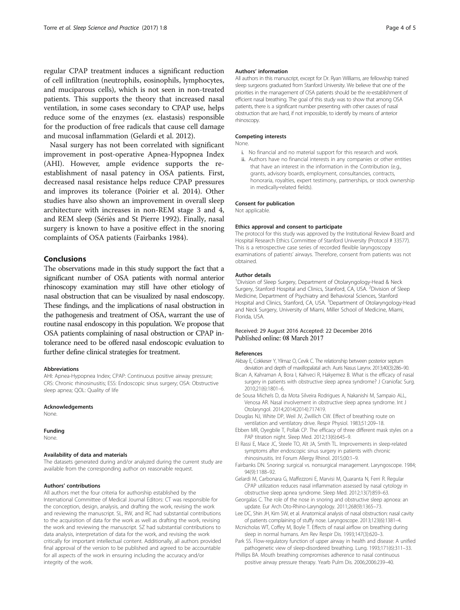<span id="page-3-0"></span>regular CPAP treatment induces a significant reduction of cell infiltration (neutrophils, eosinophils, lymphocytes, and muciparous cells), which is not seen in non-treated patients. This supports the theory that increased nasal ventilation, in some cases secondary to CPAP use, helps reduce some of the enzymes (ex. elastasis) responsible for the production of free radicals that cause cell damage and mucosal inflammation (Gelardi et al. 2012).

Nasal surgery has not been correlated with significant improvement in post-operative Apnea-Hypopnea Index (AHI). However, ample evidence supports the reestablishment of nasal patency in OSA patients. First, decreased nasal resistance helps reduce CPAP pressures and improves its tolerance (Poirier et al. [2014](#page-4-0)). Other studies have also shown an improvement in overall sleep architecture with increases in non-REM stage 3 and 4, and REM sleep (Sériès and St Pierre [1992](#page-4-0)). Finally, nasal surgery is known to have a positive effect in the snoring complaints of OSA patients (Fairbanks 1984).

## Conclusions

The observations made in this study support the fact that a significant number of OSA patients with normal anterior rhinoscopy examination may still have other etiology of nasal obstruction that can be visualized by nasal endoscopy. These findings, and the implications of nasal obstruction in the pathogenesis and treatment of OSA, warrant the use of routine nasal endoscopy in this population. We propose that OSA patients complaining of nasal obstruction or CPAP intolerance need to be offered nasal endoscopic evaluation to further define clinical strategies for treatment.

#### Abbreviations

AHI: Apnea-Hypopnea Index; CPAP: Continuous positive airway pressure; CRS: Chronic rhinosinusitis; ESS: Endoscopic sinus surgery; OSA: Obstructive sleep apnea; QOL: Quality of life

#### Acknowledgements

None.

#### Funding

None.

#### Availability of data and materials

The datasets generated during and/or analyzed during the current study are available from the corresponding author on reasonable request.

#### Authors' contributions

All authors met the four criteria for authorship established by the International Committee of Medical Journal Editors: CT was responsible for the conception, design, analysis, and drafting the work, revising the work and reviewing the manuscript. SL, RW, and RC had substantial contributions to the acquisition of data for the work as well as drafting the work, revising the work and reviewing the manuscript. SZ had substantial contributions to data analysis, interpretation of data for the work, and revising the work critically for important intellectual content. Additionally, all authors provided final approval of the version to be published and agreed to be accountable for all aspects of the work in ensuring including the accuracy and/or integrity of the work.

#### Authors' information

All authors in this manuscript, except for Dr. Ryan Williams, are fellowship trained sleep surgeons graduated from Stanford University. We believe that one of the priorities in the management of OSA patients should be the re-establishment of efficient nasal breathing. The goal of this study was to show that among OSA patients, there is a significant number presenting with other causes of nasal obstruction that are hard, if not impossible, to identify by means of anterior rhinoscopy.

### Competing interests

None.

- i. No financial and no material support for this research and work.
- ii. Authors have no financial interests in any companies or other entities that have an interest in the information in the Contribution (e.g., grants, advisory boards, employment, consultancies, contracts, honoraria, royalties, expert testimony, partnerships, or stock ownership in medically-related fields).

#### Consent for publication

Not applicable.

#### Ethics approval and consent to participate

The protocol for this study was approved by the Institutional Review Board and Hospital Research Ethics Committee of Stanford University (Protocol # 33577). This is a retrospective case series of recorded flexible laryngoscopy examinations of patients' airways. Therefore, consent from patients was not obtained.

#### Author details

<sup>1</sup> Division of Sleep Surgery, Department of Otolaryngology-Head & Neck Surgery, Stanford Hospital and Clinics, Stanford, CA, USA. <sup>2</sup>Division of Sleep Medicine, Department of Psychiatry and Behavioral Sciences, Stanford Hospital and Clinics, Stanford, CA, USA. <sup>3</sup>Department of Otolaryngology-Head and Neck Surgery, University of Miami, Miller School of Medicine, Miami, Florida, USA.

#### Received: 29 August 2016 Accepted: 22 December 2016 Published online: 08 March 2017

#### References

- Akbay E, Cokkeser Y, Yilmaz O, Cevik C. The relationship between posterior septum deviation and depth of maxillopalatal arch. Auris Nasus Larynx. 2013;40(3):286–90.
- Bican A, Kahraman A, Bora I, Kahveci R, Hakyemez B. What is the efficacy of nasal surgery in patients with obstructive sleep apnea syndrome? J Craniofac Surg. 2010;21(6):1801–6.
- de Sousa Michels D, da Mota Silveira Rodrigues A, Nakanishi M, Sampaio ALL, Venosa AR. Nasal involvement in obstructive sleep apnea syndrome. Int J Otolaryngol. 2014;2014(2014):717419.
- Douglas NJ, White DP, Weil JV, Zwillich CW. Effect of breathing route on ventilation and ventilatory drive. Respir Physiol. 1983;51:209–18.
- Ebben MR, Oyegbile T, Pollak CP. The efficacy of three different mask styles on a PAP titration night. Sleep Med. 2012;13(6):645–9.
- El Rassi E, Mace JC, Steele TO, Alt JA, Smith TL. Improvements in sleep-related symptoms after endoscopic sinus surgery in patients with chronic rhinosinusitis. Int Forum Allergy Rhinol. 2015;00:1–9.
- Fairbanks DN. Snoring: surgical vs. nonsurgical management. Laryngoscope. 1984; 94(9):1188–92.
- Gelardi M, Carbonara G, Maffezzoni E, Marvisi M, Quaranta N, Ferri R. Regular CPAP utilization reduces nasal inflammation assessed by nasal cytology in obstructive sleep apnea syndrome. Sleep Med. 2012;13(7):859–63.
- Georgalas C. The role of the nose in snoring and obstructive sleep apnoea: an update. Eur Arch Oto-Rhino-Laryngology. 2011;268(9):1365–73.
- Lee DC, Shin JH, Kim SW, et al. Anatomical analysis of nasal obstruction: nasal cavity of patients complaining of stuffy nose. Laryngoscope. 2013;123(6):1381–4.
- Mcnicholas WT, Coffey M, Boyle T. Effects of nasal airflow on breathing during sleep in normal humans. Am Rev Respir Dis. 1993;147(3):620–3.
- Park SS. Flow-regulatory function of upper airway in health and disease: A unified pathogenetic view of sleep-disordered breathing. Lung. 1993;171(6):311–33.
- Phillips BA. Mouth breathing compromises adherence to nasal continuous positive airway pressure therapy. Yearb Pulm Dis. 2006;2006:239–40.